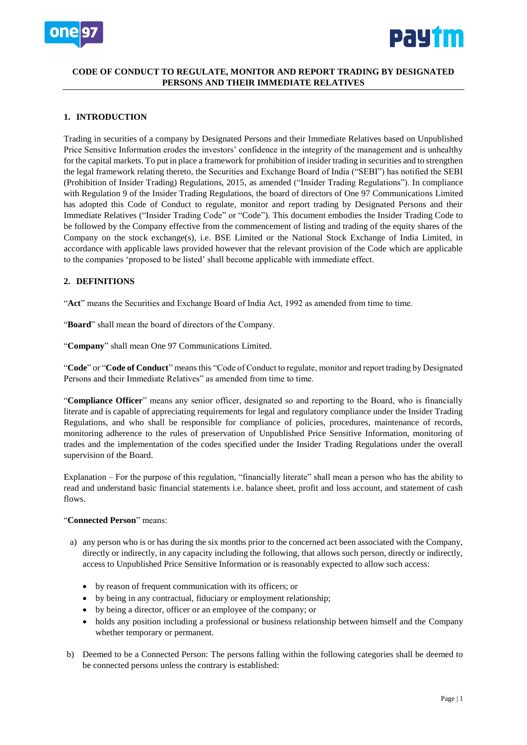



## **CODE OF CONDUCT TO REGULATE, MONITOR AND REPORT TRADING BY DESIGNATED PERSONS AND THEIR IMMEDIATE RELATIVES**

## **1. INTRODUCTION**

Trading in securities of a company by Designated Persons and their Immediate Relatives based on Unpublished Price Sensitive Information erodes the investors' confidence in the integrity of the management and is unhealthy for the capital markets. To put in place a framework for prohibition of insider trading in securities and to strengthen the legal framework relating thereto, the Securities and Exchange Board of India ("SEBI") has notified the SEBI (Prohibition of Insider Trading) Regulations, 2015, as amended ("Insider Trading Regulations"). In compliance with Regulation 9 of the Insider Trading Regulations, the board of directors of One 97 Communications Limited has adopted this Code of Conduct to regulate, monitor and report trading by Designated Persons and their Immediate Relatives ("Insider Trading Code" or "Code"). This document embodies the Insider Trading Code to be followed by the Company effective from the commencement of listing and trading of the equity shares of the Company on the stock exchange(s), i.e. BSE Limited or the National Stock Exchange of India Limited, in accordance with applicable laws provided however that the relevant provision of the Code which are applicable to the companies 'proposed to be listed' shall become applicable with immediate effect.

## **2. DEFINITIONS**

"**Act**" means the Securities and Exchange Board of India Act, 1992 as amended from time to time.

"**Board**" shall mean the board of directors of the Company.

"**Company**" shall mean One 97 Communications Limited.

"**Code**" or "**Code of Conduct**" means this "Code of Conduct to regulate, monitor and report trading by Designated Persons and their Immediate Relatives" as amended from time to time.

"**Compliance Officer**" means any senior officer, designated so and reporting to the Board, who is financially literate and is capable of appreciating requirements for legal and regulatory compliance under the Insider Trading Regulations, and who shall be responsible for compliance of policies, procedures, maintenance of records, monitoring adherence to the rules of preservation of Unpublished Price Sensitive Information, monitoring of trades and the implementation of the codes specified under the Insider Trading Regulations under the overall supervision of the Board.

Explanation – For the purpose of this regulation, "financially literate" shall mean a person who has the ability to read and understand basic financial statements i.e. balance sheet, profit and loss account, and statement of cash flows.

### "**Connected Person**" means:

- a) any person who is or has during the six months prior to the concerned act been associated with the Company, directly or indirectly, in any capacity including the following, that allows such person, directly or indirectly, access to Unpublished Price Sensitive Information or is reasonably expected to allow such access:
	- by reason of frequent communication with its officers; or
	- by being in any contractual, fiduciary or employment relationship;
	- by being a director, officer or an employee of the company; or
	- holds any position including a professional or business relationship between himself and the Company whether temporary or permanent.
- b) Deemed to be a Connected Person: The persons falling within the following categories shall be deemed to be connected persons unless the contrary is established: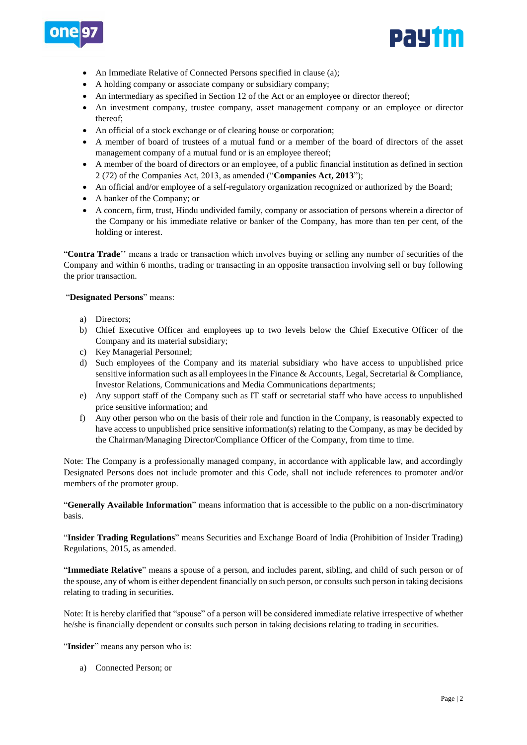



- An Immediate Relative of Connected Persons specified in clause (a);
- A holding company or associate company or subsidiary company;
- An intermediary as specified in Section 12 of the Act or an employee or director thereof;
- An investment company, trustee company, asset management company or an employee or director thereof;
- An official of a stock exchange or of clearing house or corporation;
- A member of board of trustees of a mutual fund or a member of the board of directors of the asset management company of a mutual fund or is an employee thereof;
- A member of the board of directors or an employee, of a public financial institution as defined in section 2 (72) of the Companies Act, 2013, as amended ("**Companies Act, 2013**");
- An official and/or employee of a self-regulatory organization recognized or authorized by the Board;
- A banker of the Company; or
- A concern, firm, trust, Hindu undivided family, company or association of persons wherein a director of the Company or his immediate relative or banker of the Company, has more than ten per cent, of the holding or interest.

"**Contra Trade**'' means a trade or transaction which involves buying or selling any number of securities of the Company and within 6 months, trading or transacting in an opposite transaction involving sell or buy following the prior transaction.

### "**Designated Persons**" means:

- a) Directors;
- b) Chief Executive Officer and employees up to two levels below the Chief Executive Officer of the Company and its material subsidiary;
- c) Key Managerial Personnel;
- d) Such employees of the Company and its material subsidiary who have access to unpublished price sensitive information such as all employees in the Finance & Accounts, Legal, Secretarial & Compliance, Investor Relations, Communications and Media Communications departments;
- e) Any support staff of the Company such as IT staff or secretarial staff who have access to unpublished price sensitive information; and
- f) Any other person who on the basis of their role and function in the Company, is reasonably expected to have access to unpublished price sensitive information(s) relating to the Company, as may be decided by the Chairman/Managing Director/Compliance Officer of the Company, from time to time.

Note: The Company is a professionally managed company, in accordance with applicable law, and accordingly Designated Persons does not include promoter and this Code, shall not include references to promoter and/or members of the promoter group.

"**Generally Available Information**" means information that is accessible to the public on a non-discriminatory basis.

"**Insider Trading Regulations**" means Securities and Exchange Board of India (Prohibition of Insider Trading) Regulations, 2015, as amended.

"**Immediate Relative**" means a spouse of a person, and includes parent, sibling, and child of such person or of the spouse, any of whom is either dependent financially on such person, or consults such person in taking decisions relating to trading in securities.

Note: It is hereby clarified that "spouse" of a person will be considered immediate relative irrespective of whether he/she is financially dependent or consults such person in taking decisions relating to trading in securities.

"Insider" means any person who is:

a) Connected Person; or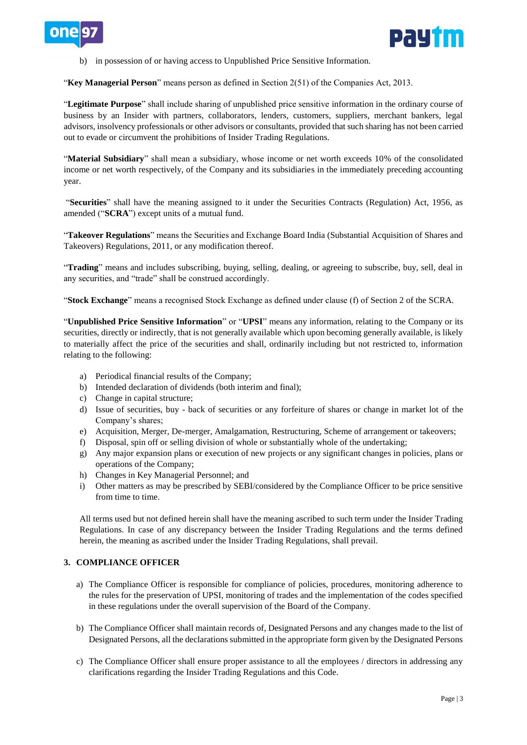



b) in possession of or having access to Unpublished Price Sensitive Information.

"**Key Managerial Person**" means person as defined in Section 2(51) of the Companies Act, 2013.

"**Legitimate Purpose**" shall include sharing of unpublished price sensitive information in the ordinary course of business by an Insider with partners, collaborators, lenders, customers, suppliers, merchant bankers, legal advisors, insolvency professionals or other advisors or consultants, provided that such sharing has not been carried out to evade or circumvent the prohibitions of Insider Trading Regulations.

"**Material Subsidiary**" shall mean a subsidiary, whose income or net worth exceeds 10% of the consolidated income or net worth respectively, of the Company and its subsidiaries in the immediately preceding accounting year.

"**Securities**" shall have the meaning assigned to it under the Securities Contracts (Regulation) Act, 1956, as amended ("**SCRA**") except units of a mutual fund.

"**Takeover Regulations**" means the Securities and Exchange Board India (Substantial Acquisition of Shares and Takeovers) Regulations, 2011, or any modification thereof.

"**Trading**" means and includes subscribing, buying, selling, dealing, or agreeing to subscribe, buy, sell, deal in any securities, and "trade" shall be construed accordingly.

"**Stock Exchange**" means a recognised Stock Exchange as defined under clause (f) of Section 2 of the SCRA.

"**Unpublished Price Sensitive Information**" or "**UPSI**" means any information, relating to the Company or its securities, directly or indirectly, that is not generally available which upon becoming generally available, is likely to materially affect the price of the securities and shall, ordinarily including but not restricted to, information relating to the following:

- a) Periodical financial results of the Company;
- b) Intended declaration of dividends (both interim and final);
- c) Change in capital structure;
- d) Issue of securities, buy back of securities or any forfeiture of shares or change in market lot of the Company's shares;
- e) Acquisition, Merger, De-merger, Amalgamation, Restructuring, Scheme of arrangement or takeovers;
- f) Disposal, spin off or selling division of whole or substantially whole of the undertaking;
- g) Any major expansion plans or execution of new projects or any significant changes in policies, plans or operations of the Company;
- h) Changes in Key Managerial Personnel; and
- i) Other matters as may be prescribed by SEBI/considered by the Compliance Officer to be price sensitive from time to time.

All terms used but not defined herein shall have the meaning ascribed to such term under the Insider Trading Regulations. In case of any discrepancy between the Insider Trading Regulations and the terms defined herein, the meaning as ascribed under the Insider Trading Regulations, shall prevail.

### **3. COMPLIANCE OFFICER**

- a) The Compliance Officer is responsible for compliance of policies, procedures, monitoring adherence to the rules for the preservation of UPSI, monitoring of trades and the implementation of the codes specified in these regulations under the overall supervision of the Board of the Company.
- b) The Compliance Officer shall maintain records of, Designated Persons and any changes made to the list of Designated Persons, all the declarations submitted in the appropriate form given by the Designated Persons
- c) The Compliance Officer shall ensure proper assistance to all the employees / directors in addressing any clarifications regarding the Insider Trading Regulations and this Code.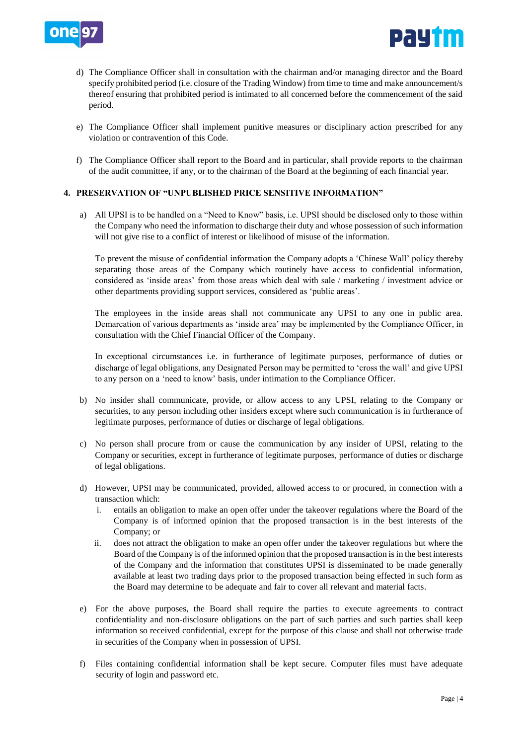



- d) The Compliance Officer shall in consultation with the chairman and/or managing director and the Board specify prohibited period (i.e. closure of the Trading Window) from time to time and make announcement/s thereof ensuring that prohibited period is intimated to all concerned before the commencement of the said period.
- e) The Compliance Officer shall implement punitive measures or disciplinary action prescribed for any violation or contravention of this Code.
- f) The Compliance Officer shall report to the Board and in particular, shall provide reports to the chairman of the audit committee, if any, or to the chairman of the Board at the beginning of each financial year.

## **4. PRESERVATION OF "UNPUBLISHED PRICE SENSITIVE INFORMATION"**

a) All UPSI is to be handled on a "Need to Know" basis, i.e. UPSI should be disclosed only to those within the Company who need the information to discharge their duty and whose possession of such information will not give rise to a conflict of interest or likelihood of misuse of the information.

 To prevent the misuse of confidential information the Company adopts a 'Chinese Wall' policy thereby separating those areas of the Company which routinely have access to confidential information, considered as 'inside areas' from those areas which deal with sale / marketing / investment advice or other departments providing support services, considered as 'public areas'.

The employees in the inside areas shall not communicate any UPSI to any one in public area. Demarcation of various departments as 'inside area' may be implemented by the Compliance Officer, in consultation with the Chief Financial Officer of the Company.

In exceptional circumstances i.e. in furtherance of legitimate purposes, performance of duties or discharge of legal obligations, any Designated Person may be permitted to 'cross the wall' and give UPSI to any person on a 'need to know' basis, under intimation to the Compliance Officer.

- b) No insider shall communicate, provide, or allow access to any UPSI, relating to the Company or securities, to any person including other insiders except where such communication is in furtherance of legitimate purposes, performance of duties or discharge of legal obligations.
- c) No person shall procure from or cause the communication by any insider of UPSI, relating to the Company or securities, except in furtherance of legitimate purposes, performance of duties or discharge of legal obligations.
- d) However, UPSI may be communicated, provided, allowed access to or procured, in connection with a transaction which:
	- i. entails an obligation to make an open offer under the takeover regulations where the Board of the Company is of informed opinion that the proposed transaction is in the best interests of the Company; or
	- ii. does not attract the obligation to make an open offer under the takeover regulations but where the Board of the Company is of the informed opinion that the proposed transaction is in the best interests of the Company and the information that constitutes UPSI is disseminated to be made generally available at least two trading days prior to the proposed transaction being effected in such form as the Board may determine to be adequate and fair to cover all relevant and material facts.
- e) For the above purposes, the Board shall require the parties to execute agreements to contract confidentiality and non-disclosure obligations on the part of such parties and such parties shall keep information so received confidential, except for the purpose of this clause and shall not otherwise trade in securities of the Company when in possession of UPSI.
- f) Files containing confidential information shall be kept secure. Computer files must have adequate security of login and password etc.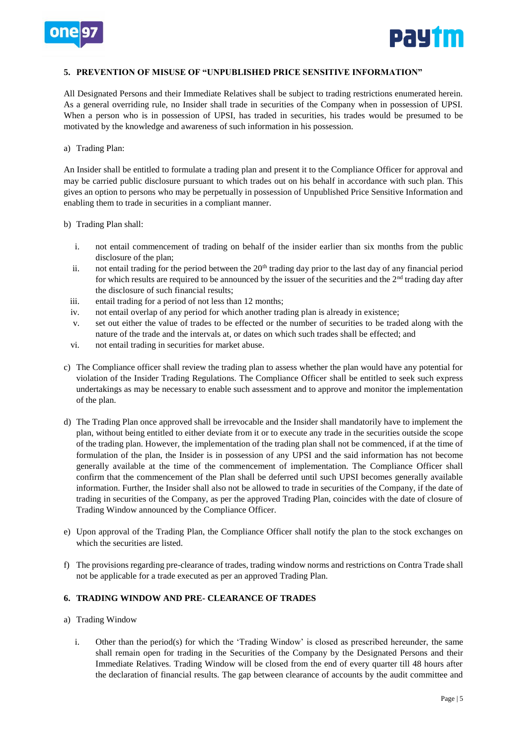



## **5. PREVENTION OF MISUSE OF "UNPUBLISHED PRICE SENSITIVE INFORMATION"**

All Designated Persons and their Immediate Relatives shall be subject to trading restrictions enumerated herein. As a general overriding rule, no Insider shall trade in securities of the Company when in possession of UPSI. When a person who is in possession of UPSI, has traded in securities, his trades would be presumed to be motivated by the knowledge and awareness of such information in his possession.

a) Trading Plan:

An Insider shall be entitled to formulate a trading plan and present it to the Compliance Officer for approval and may be carried public disclosure pursuant to which trades out on his behalf in accordance with such plan. This gives an option to persons who may be perpetually in possession of Unpublished Price Sensitive Information and enabling them to trade in securities in a compliant manner.

- b) Trading Plan shall:
	- i. not entail commencement of trading on behalf of the insider earlier than six months from the public disclosure of the plan;
	- ii. not entail trading for the period between the  $20<sup>th</sup>$  trading day prior to the last day of any financial period for which results are required to be announced by the issuer of the securities and the  $2<sup>nd</sup>$  trading day after the disclosure of such financial results;
	- iii. entail trading for a period of not less than 12 months;
	- iv. not entail overlap of any period for which another trading plan is already in existence;
	- v. set out either the value of trades to be effected or the number of securities to be traded along with the nature of the trade and the intervals at, or dates on which such trades shall be effected; and
	- vi. not entail trading in securities for market abuse.
- c) The Compliance officer shall review the trading plan to assess whether the plan would have any potential for violation of the Insider Trading Regulations. The Compliance Officer shall be entitled to seek such express undertakings as may be necessary to enable such assessment and to approve and monitor the implementation of the plan.
- d) The Trading Plan once approved shall be irrevocable and the Insider shall mandatorily have to implement the plan, without being entitled to either deviate from it or to execute any trade in the securities outside the scope of the trading plan. However, the implementation of the trading plan shall not be commenced, if at the time of formulation of the plan, the Insider is in possession of any UPSI and the said information has not become generally available at the time of the commencement of implementation. The Compliance Officer shall confirm that the commencement of the Plan shall be deferred until such UPSI becomes generally available information. Further, the Insider shall also not be allowed to trade in securities of the Company, if the date of trading in securities of the Company, as per the approved Trading Plan, coincides with the date of closure of Trading Window announced by the Compliance Officer.
- e) Upon approval of the Trading Plan, the Compliance Officer shall notify the plan to the stock exchanges on which the securities are listed.
- f) The provisions regarding pre-clearance of trades, trading window norms and restrictions on Contra Trade shall not be applicable for a trade executed as per an approved Trading Plan.

### **6. TRADING WINDOW AND PRE- CLEARANCE OF TRADES**

- a) Trading Window
	- i. Other than the period(s) for which the 'Trading Window' is closed as prescribed hereunder, the same shall remain open for trading in the Securities of the Company by the Designated Persons and their Immediate Relatives. Trading Window will be closed from the end of every quarter till 48 hours after the declaration of financial results. The gap between clearance of accounts by the audit committee and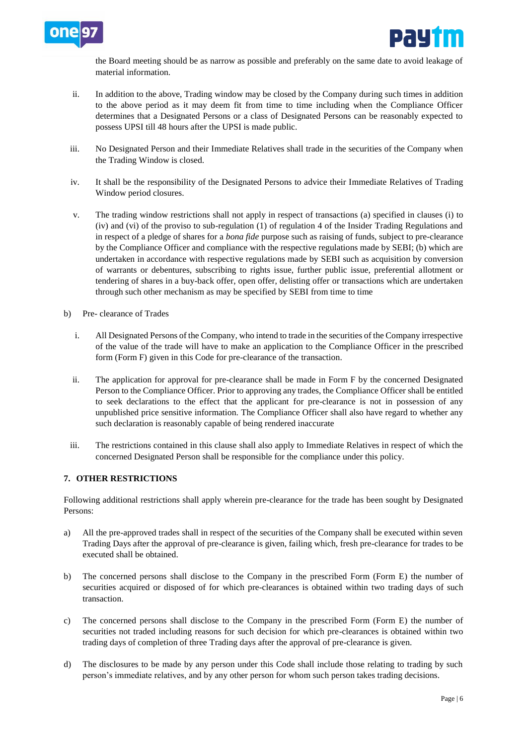



the Board meeting should be as narrow as possible and preferably on the same date to avoid leakage of material information.

- ii. In addition to the above, Trading window may be closed by the Company during such times in addition to the above period as it may deem fit from time to time including when the Compliance Officer determines that a Designated Persons or a class of Designated Persons can be reasonably expected to possess UPSI till 48 hours after the UPSI is made public.
- iii. No Designated Person and their Immediate Relatives shall trade in the securities of the Company when the Trading Window is closed.
- iv. It shall be the responsibility of the Designated Persons to advice their Immediate Relatives of Trading Window period closures.
- v. The trading window restrictions shall not apply in respect of transactions (a) specified in clauses (i) to (iv) and (vi) of the proviso to sub-regulation (1) of regulation 4 of the Insider Trading Regulations and in respect of a pledge of shares for a *bona fide* purpose such as raising of funds, subject to pre-clearance by the Compliance Officer and compliance with the respective regulations made by SEBI; (b) which are undertaken in accordance with respective regulations made by SEBI such as acquisition by conversion of warrants or debentures, subscribing to rights issue, further public issue, preferential allotment or tendering of shares in a buy-back offer, open offer, delisting offer or transactions which are undertaken through such other mechanism as may be specified by SEBI from time to time
- b) Pre- clearance of Trades
	- i. All Designated Persons of the Company, who intend to trade in the securities of the Company irrespective of the value of the trade will have to make an application to the Compliance Officer in the prescribed form (Form F) given in this Code for pre-clearance of the transaction.
	- ii. The application for approval for pre-clearance shall be made in Form F by the concerned Designated Person to the Compliance Officer. Prior to approving any trades, the Compliance Officer shall be entitled to seek declarations to the effect that the applicant for pre-clearance is not in possession of any unpublished price sensitive information. The Compliance Officer shall also have regard to whether any such declaration is reasonably capable of being rendered inaccurate
	- iii. The restrictions contained in this clause shall also apply to Immediate Relatives in respect of which the concerned Designated Person shall be responsible for the compliance under this policy.

## **7. OTHER RESTRICTIONS**

Following additional restrictions shall apply wherein pre-clearance for the trade has been sought by Designated Persons:

- a) All the pre-approved trades shall in respect of the securities of the Company shall be executed within seven Trading Days after the approval of pre-clearance is given, failing which, fresh pre-clearance for trades to be executed shall be obtained.
- b) The concerned persons shall disclose to the Company in the prescribed Form (Form E) the number of securities acquired or disposed of for which pre-clearances is obtained within two trading days of such transaction.
- c) The concerned persons shall disclose to the Company in the prescribed Form (Form E) the number of securities not traded including reasons for such decision for which pre-clearances is obtained within two trading days of completion of three Trading days after the approval of pre-clearance is given.
- d) The disclosures to be made by any person under this Code shall include those relating to trading by such person's immediate relatives, and by any other person for whom such person takes trading decisions.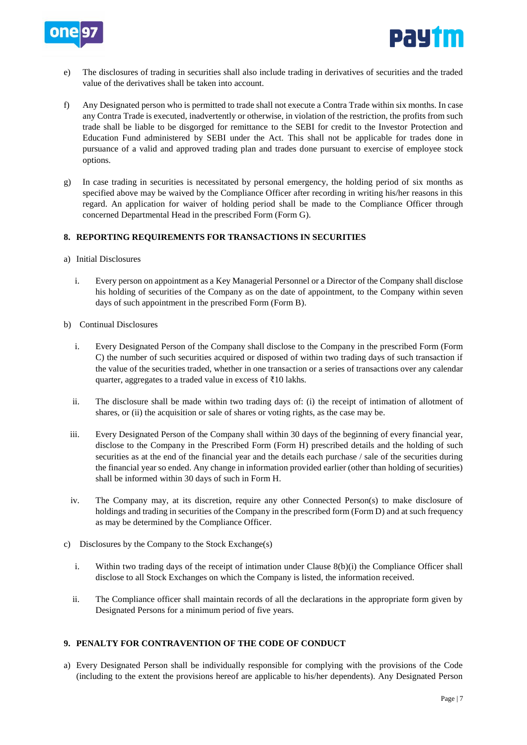



- e) The disclosures of trading in securities shall also include trading in derivatives of securities and the traded value of the derivatives shall be taken into account.
- f) Any Designated person who is permitted to trade shall not execute a Contra Trade within six months. In case any Contra Trade is executed, inadvertently or otherwise, in violation of the restriction, the profits from such trade shall be liable to be disgorged for remittance to the SEBI for credit to the Investor Protection and Education Fund administered by SEBI under the Act. This shall not be applicable for trades done in pursuance of a valid and approved trading plan and trades done pursuant to exercise of employee stock options.
- g) In case trading in securities is necessitated by personal emergency, the holding period of six months as specified above may be waived by the Compliance Officer after recording in writing his/her reasons in this regard. An application for waiver of holding period shall be made to the Compliance Officer through concerned Departmental Head in the prescribed Form (Form G).

## **8. REPORTING REQUIREMENTS FOR TRANSACTIONS IN SECURITIES**

- a) Initial Disclosures
	- i. Every person on appointment as a Key Managerial Personnel or a Director of the Company shall disclose his holding of securities of the Company as on the date of appointment, to the Company within seven days of such appointment in the prescribed Form (Form B).
- b) Continual Disclosures
	- i. Every Designated Person of the Company shall disclose to the Company in the prescribed Form (Form C) the number of such securities acquired or disposed of within two trading days of such transaction if the value of the securities traded, whether in one transaction or a series of transactions over any calendar quarter, aggregates to a traded value in excess of ₹10 lakhs.
	- ii. The disclosure shall be made within two trading days of: (i) the receipt of intimation of allotment of shares, or (ii) the acquisition or sale of shares or voting rights, as the case may be.
	- iii. Every Designated Person of the Company shall within 30 days of the beginning of every financial year, disclose to the Company in the Prescribed Form (Form H) prescribed details and the holding of such securities as at the end of the financial year and the details each purchase / sale of the securities during the financial year so ended. Any change in information provided earlier (other than holding of securities) shall be informed within 30 days of such in Form H.
	- iv. The Company may, at its discretion, require any other Connected Person(s) to make disclosure of holdings and trading in securities of the Company in the prescribed form (Form D) and at such frequency as may be determined by the Compliance Officer.
- c) Disclosures by the Company to the Stock Exchange(s)
	- i. Within two trading days of the receipt of intimation under Clause 8(b)(i) the Compliance Officer shall disclose to all Stock Exchanges on which the Company is listed, the information received.
	- ii. The Compliance officer shall maintain records of all the declarations in the appropriate form given by Designated Persons for a minimum period of five years.

## **9. PENALTY FOR CONTRAVENTION OF THE CODE OF CONDUCT**

a) Every Designated Person shall be individually responsible for complying with the provisions of the Code (including to the extent the provisions hereof are applicable to his/her dependents). Any Designated Person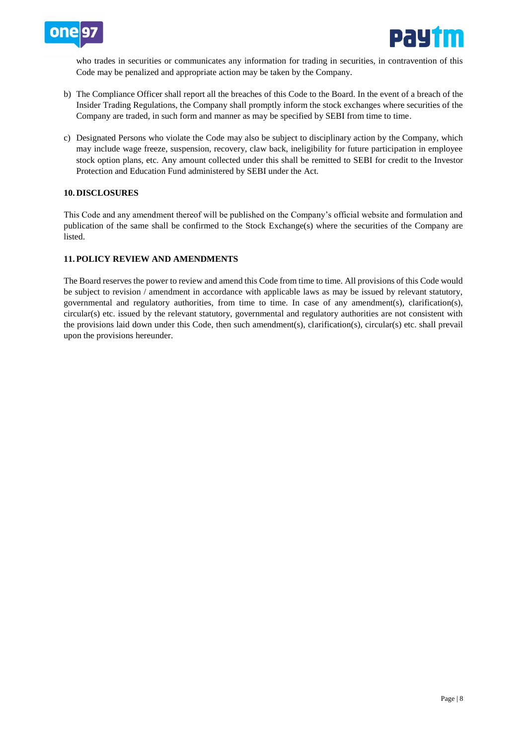



who trades in securities or communicates any information for trading in securities, in contravention of this Code may be penalized and appropriate action may be taken by the Company.

- b) The Compliance Officer shall report all the breaches of this Code to the Board. In the event of a breach of the Insider Trading Regulations, the Company shall promptly inform the stock exchanges where securities of the Company are traded, in such form and manner as may be specified by SEBI from time to time.
- c) Designated Persons who violate the Code may also be subject to disciplinary action by the Company, which may include wage freeze, suspension, recovery, claw back, ineligibility for future participation in employee stock option plans, etc. Any amount collected under this shall be remitted to SEBI for credit to the Investor Protection and Education Fund administered by SEBI under the Act.

### **10. DISCLOSURES**

This Code and any amendment thereof will be published on the Company's official website and formulation and publication of the same shall be confirmed to the Stock Exchange(s) where the securities of the Company are listed.

### **11. POLICY REVIEW AND AMENDMENTS**

The Board reserves the power to review and amend this Code from time to time. All provisions of this Code would be subject to revision / amendment in accordance with applicable laws as may be issued by relevant statutory, governmental and regulatory authorities, from time to time. In case of any amendment(s), clarification(s), circular(s) etc. issued by the relevant statutory, governmental and regulatory authorities are not consistent with the provisions laid down under this Code, then such amendment(s), clarification(s), circular(s) etc. shall prevail upon the provisions hereunder.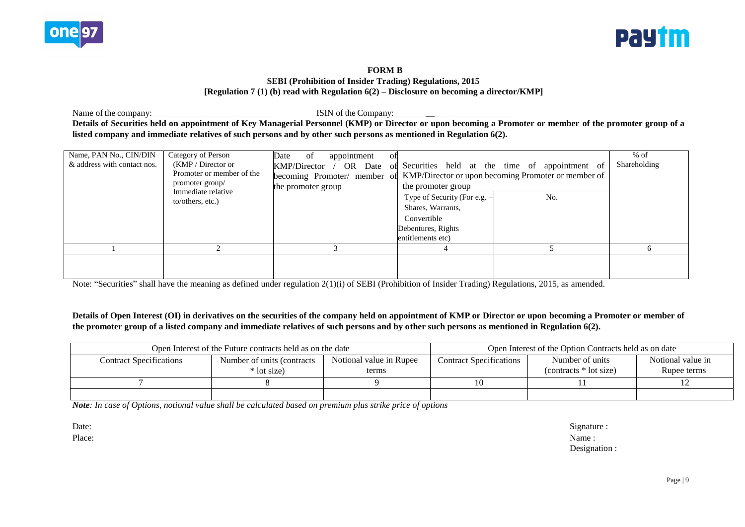



### **FORM B SEBI (Prohibition of Insider Trading) Regulations, 2015 [Regulation 7 (1) (b) read with Regulation 6(2) – Disclosure on becoming a director/KMP]**

Name of the company: **ISIN** of the Company: **Details of Securities held on appointment of Key Managerial Personnel (KMP) or Director or upon becoming a Promoter or member of the promoter group of a listed company and immediate relatives of such persons and by other such persons as mentioned in Regulation 6(2).**

| Name, PAN No., CIN/DIN<br>& address with contact nos. | Category of Person<br>(KMP / Director<br>Promoter or member of the<br>promoter group/<br>Immediate relative<br>to/others, etc.) | appointment<br>Date of<br>ΩŤ<br>OR Date<br>KMP/Director<br>the promoter group | of Securities held at the time of appointment of<br>becoming Promoter/ member of KMP/Director or upon becoming Promoter or member of<br>the promoter group<br>No.<br>Type of Security (For e.g. -<br>Shares, Warrants,<br>Convertible<br>Debentures, Rights<br>entitlements etc) | $%$ of<br>Shareholding |
|-------------------------------------------------------|---------------------------------------------------------------------------------------------------------------------------------|-------------------------------------------------------------------------------|----------------------------------------------------------------------------------------------------------------------------------------------------------------------------------------------------------------------------------------------------------------------------------|------------------------|
|                                                       |                                                                                                                                 |                                                                               |                                                                                                                                                                                                                                                                                  | <sub>n</sub>           |
|                                                       |                                                                                                                                 |                                                                               |                                                                                                                                                                                                                                                                                  |                        |

Note: "Securities" shall have the meaning as defined under regulation 2(1)(i) of SEBI (Prohibition of Insider Trading) Regulations, 2015, as amended.

## **Details of Open Interest (OI) in derivatives on the securities of the company held on appointment of KMP or Director or upon becoming a Promoter or member of the promoter group of a listed company and immediate relatives of such persons and by other such persons as mentioned in Regulation 6(2).**

|                                | Open Interest of the Future contracts held as on the date |                                  | Open Interest of the Option Contracts held as on date |                                            |                                  |  |  |
|--------------------------------|-----------------------------------------------------------|----------------------------------|-------------------------------------------------------|--------------------------------------------|----------------------------------|--|--|
| <b>Contract Specifications</b> | Number of units (contracts)<br>* lot size)                | Notional value in Rupee<br>terms | <b>Contract Specifications</b>                        | Number of units<br>$(contrast * lot size)$ | Notional value in<br>Rupee terms |  |  |
|                                |                                                           |                                  | 10                                                    |                                            |                                  |  |  |
|                                |                                                           |                                  |                                                       |                                            |                                  |  |  |

*Note: In case of Options, notional value shall be calculated based on premium plus strike price of options*

Date: Signature : Place: Name : Name : Name : Name : Name : Name : Name : Name : Name : Name : Name : Name : Name : Name : Name : Name : Name : Name : Name : Name : Name : Name : Name : Name : Name : Name : Name : Name : Name : Name : Name Designation :

Page | 9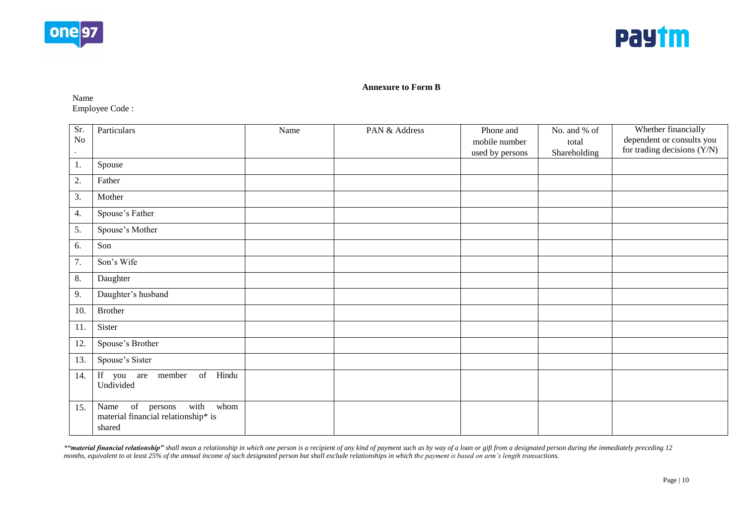



#### **Annexure to Form B**

Name Employee Code :

| Sr.<br>$\rm No$<br>$\cdot$ | Particulars                                                                                             | Name | PAN & Address | Phone and<br>mobile number<br>used by persons | No. and % of<br>total<br>Shareholding | Whether financially<br>dependent or consults you<br>for trading decisions (Y/N) |
|----------------------------|---------------------------------------------------------------------------------------------------------|------|---------------|-----------------------------------------------|---------------------------------------|---------------------------------------------------------------------------------|
| 1.                         | Spouse                                                                                                  |      |               |                                               |                                       |                                                                                 |
| 2.                         | Father                                                                                                  |      |               |                                               |                                       |                                                                                 |
| 3.                         | Mother                                                                                                  |      |               |                                               |                                       |                                                                                 |
| 4.                         | Spouse's Father                                                                                         |      |               |                                               |                                       |                                                                                 |
| 5.                         | Spouse's Mother                                                                                         |      |               |                                               |                                       |                                                                                 |
| 6.                         | Son                                                                                                     |      |               |                                               |                                       |                                                                                 |
| 7.                         | Son's Wife                                                                                              |      |               |                                               |                                       |                                                                                 |
| 8.                         | Daughter                                                                                                |      |               |                                               |                                       |                                                                                 |
| 9.                         | Daughter's husband                                                                                      |      |               |                                               |                                       |                                                                                 |
| 10.                        | <b>Brother</b>                                                                                          |      |               |                                               |                                       |                                                                                 |
| 11.                        | Sister                                                                                                  |      |               |                                               |                                       |                                                                                 |
| 12.                        | Spouse's Brother                                                                                        |      |               |                                               |                                       |                                                                                 |
| 13.                        | Spouse's Sister                                                                                         |      |               |                                               |                                       |                                                                                 |
| 14.                        | of Hindu<br>If you are member<br>Undivided                                                              |      |               |                                               |                                       |                                                                                 |
| 15.                        | $\overline{\text{of}}$ persons<br>with<br>whom<br>Name<br>material financial relationship* is<br>shared |      |               |                                               |                                       |                                                                                 |

\*4 material financial relationship" shall mean a relationship in which one person is a recipient of any kind of payment such as by way of a loan or gift from a designated person during the immediately preceding 12 *months, equivalent to at least 25% of the annual income of such designated person but shall exclude relationships in which the payment is based on arm's length transactions.*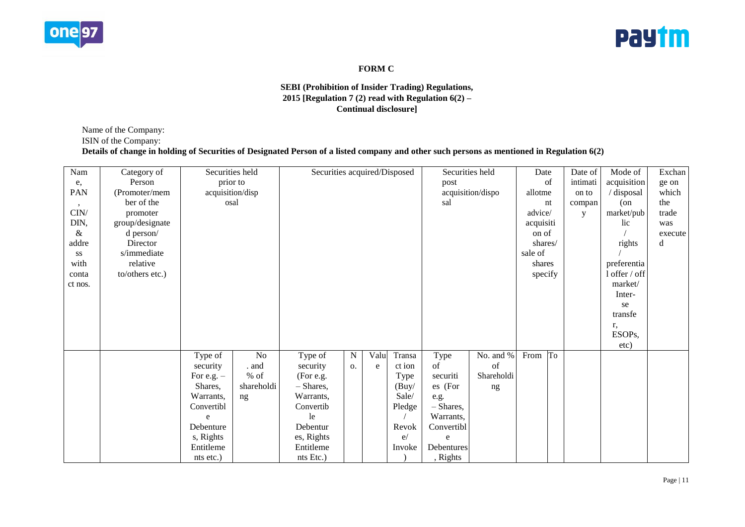



# **FORM C**

## **SEBI (Prohibition of Insider Trading) Regulations, 2015 [Regulation 7 (2) read with Regulation 6(2) – Continual disclosure]**

Name of the Company:

ISIN of the Company:

# **Details of change in holding of Securities of Designated Person of a listed company and other such persons as mentioned in Regulation 6(2)**

| Nam     | Category of     |                        | Securities held | Securities acquired/Disposed |             |      |        | Securities held |                   | Date      |    | Date of    | Mode of             | Exchan  |
|---------|-----------------|------------------------|-----------------|------------------------------|-------------|------|--------|-----------------|-------------------|-----------|----|------------|---------------------|---------|
| e,      | Person          |                        | prior to        |                              |             |      |        | post            |                   |           | of | intimati   | acquisition         | ge on   |
| PAN     | (Promoter/mem   | acquisition/disp       |                 |                              |             |      |        |                 | acquisition/dispo | allotme   |    | on to      | $\prime$ disposal   | which   |
| $\cdot$ | ber of the      | osal                   |                 |                              |             |      |        | sal             |                   |           | nt | compan     | (on                 | the     |
| CIN/    | promoter        |                        |                 |                              |             |      |        |                 | advice/           |           | y  | market/pub | trade               |         |
| DIN,    | group/designate |                        |                 |                              |             |      |        |                 |                   | acquisiti |    |            | lic                 | was     |
| $\&$    | d person/       |                        |                 |                              |             |      |        |                 |                   | on of     |    |            |                     | execute |
| addre   | Director        |                        |                 |                              |             |      |        |                 |                   | shares/   |    |            | rights              | d       |
| SS      | s/immediate     |                        |                 |                              |             |      |        |                 |                   | sale of   |    |            |                     |         |
| with    | relative        |                        |                 |                              |             |      |        |                 |                   | shares    |    |            | preferentia         |         |
| conta   | to/others etc.) |                        |                 |                              |             |      |        |                 |                   | specify   |    |            | 1 offer / off       |         |
| ct nos. |                 |                        |                 |                              |             |      |        |                 |                   |           |    |            | market/             |         |
|         |                 |                        |                 |                              |             |      |        |                 |                   |           |    |            | Inter-              |         |
|         |                 |                        |                 |                              |             |      |        |                 |                   |           |    |            | se                  |         |
|         |                 |                        |                 |                              |             |      |        |                 |                   |           |    |            | transfe             |         |
|         |                 |                        |                 |                              |             |      |        |                 |                   |           |    |            | r,                  |         |
|         |                 |                        |                 |                              |             |      |        |                 |                   |           |    |            | ESOP <sub>s</sub> , |         |
|         |                 |                        |                 |                              |             |      |        |                 |                   |           |    |            | etc)                |         |
|         |                 | Type of                | N <sub>o</sub>  | Type of                      | $\mathbf N$ | Valu | Transa | Type            | No. and %         | From      | To |            |                     |         |
|         |                 | security               | . and           | security                     | 0.          | e    | ct ion | of              | of                |           |    |            |                     |         |
|         |                 | For e.g. $-$           | $%$ of          | (For e.g.                    |             |      | Type   | securiti        | Shareholdi        |           |    |            |                     |         |
|         |                 | Shares,                | shareholdi      | $-$ Shares,                  |             |      | (Buy/  | es (For         | ng                |           |    |            |                     |         |
|         |                 | Warrants,              | ng              | Warrants,                    |             |      | Sale/  | e.g.            |                   |           |    |            |                     |         |
|         |                 | Convertibl             |                 | Convertib                    |             |      | Pledge | $-$ Shares,     |                   |           |    |            |                     |         |
|         |                 | e<br>Debenture         |                 | le<br>Debentur               |             |      |        | Warrants,       |                   |           |    |            |                     |         |
|         |                 |                        |                 |                              |             |      | Revok  | Convertibl      |                   |           |    |            |                     |         |
|         |                 | s, Rights<br>Entitleme |                 | es, Rights<br>Entitleme      |             |      | e/     | e<br>Debentures |                   |           |    |            |                     |         |
|         |                 |                        |                 |                              |             |      | Invoke |                 |                   |           |    |            |                     |         |
|         |                 | nts etc.)              |                 | nts Etc.)                    |             |      |        | , Rights        |                   |           |    |            |                     |         |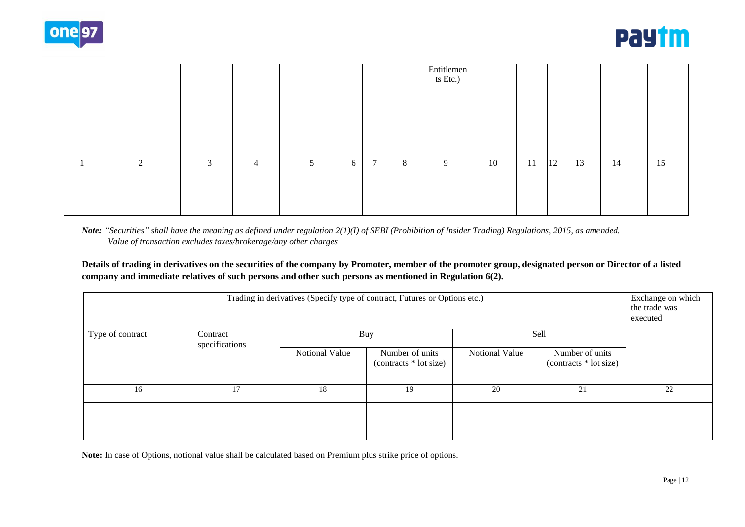



|   |   |   |   |   |                |   | Entitlemen<br>ts Etc.) |    |    |               |    |    |    |
|---|---|---|---|---|----------------|---|------------------------|----|----|---------------|----|----|----|
|   |   |   |   |   |                |   |                        |    |    |               |    |    |    |
|   |   |   |   |   |                |   |                        |    |    |               |    |    |    |
|   |   |   |   |   |                |   |                        |    |    |               |    |    |    |
|   |   |   |   |   |                |   |                        |    |    |               |    |    |    |
| 2 | 3 | 4 | 5 | 6 | $\overline{ }$ | 8 | 9                      | 10 | 11 | <sup>12</sup> | 13 | 14 | 15 |
|   |   |   |   |   |                |   |                        |    |    |               |    |    |    |
|   |   |   |   |   |                |   |                        |    |    |               |    |    |    |
|   |   |   |   |   |                |   |                        |    |    |               |    |    |    |

*Note: "Securities" shall have the meaning as defined under regulation 2(1)(I) of SEBI (Prohibition of Insider Trading) Regulations, 2015, as amended. Value of transaction excludes taxes/brokerage/any other charges*

**Details of trading in derivatives on the securities of the company by Promoter, member of the promoter group, designated person or Director of a listed company and immediate relatives of such persons and other such persons as mentioned in Regulation 6(2).**

| Trading in derivatives (Specify type of contract, Futures or Options etc.)<br>Exchange on which<br>executed |                            |                |                                            |                |                                           |    |  |  |  |  |  |
|-------------------------------------------------------------------------------------------------------------|----------------------------|----------------|--------------------------------------------|----------------|-------------------------------------------|----|--|--|--|--|--|
| Type of contract                                                                                            | Contract<br>specifications |                | Buy                                        | Sell           |                                           |    |  |  |  |  |  |
|                                                                                                             |                            | Notional Value | Number of units<br>$(contrast * lot size)$ | Notional Value | Number of units<br>(contracts * lot size) |    |  |  |  |  |  |
| 16                                                                                                          | 17                         | 18             | 19                                         | 20             | 21                                        | 22 |  |  |  |  |  |
|                                                                                                             |                            |                |                                            |                |                                           |    |  |  |  |  |  |

**Note:** In case of Options, notional value shall be calculated based on Premium plus strike price of options.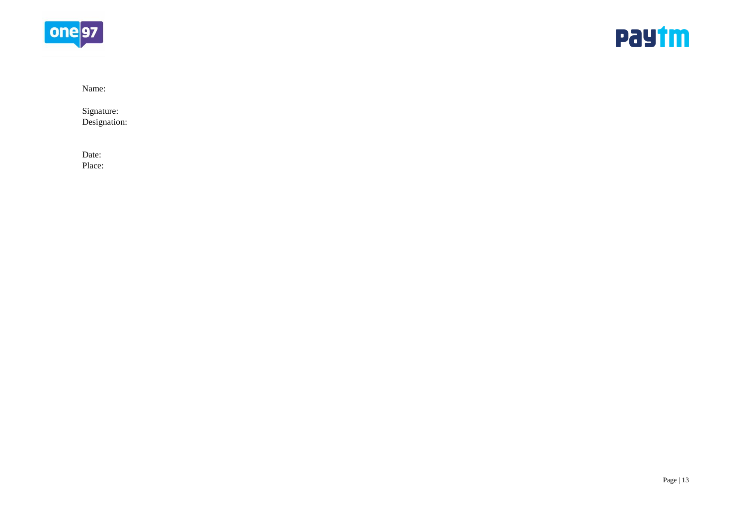



Name:

Signature: Designation:

Date: Place: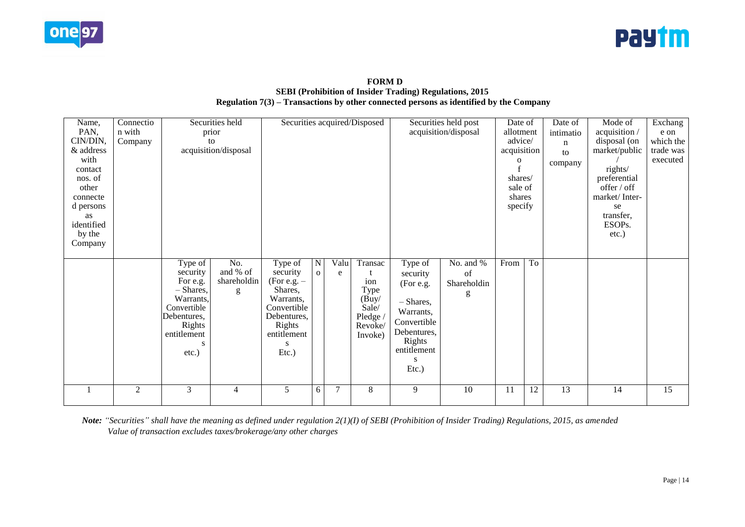



## **FORM D SEBI (Prohibition of Insider Trading) Regulations, 2015 Regulation 7(3) – Transactions by other connected persons as identified by the Company**

| Name,<br>PAN,<br>CIN/DIN,<br>& address<br>with<br>contact<br>nos. of<br>other<br>connecte<br>d persons<br>as<br>identified<br>by the<br>Company | Connectio<br>n with<br>Company |                                                                                                                                     | Securities held<br>prior<br>to<br>acquisition/disposal | Securities acquired/Disposed                                                                                                 |                                |                |                                                                          | Securities held post<br>acquisition/disposal                                                                                       | Date of<br>$\mathbf 0$              | allotment<br>intimatio<br>advice/<br>n<br>acquisition<br>to<br>company<br>shares/<br>sale of<br>shares<br>specify |    | Mode of<br>acquisition /<br>disposal (on<br>market/public<br>rights/<br>preferential<br>offer / off<br>market/Inter-<br>se<br>transfer,<br>ESOPs.<br>$etc.$ ) | Exchang<br>e on<br>which the<br>trade was<br>executed |    |
|-------------------------------------------------------------------------------------------------------------------------------------------------|--------------------------------|-------------------------------------------------------------------------------------------------------------------------------------|--------------------------------------------------------|------------------------------------------------------------------------------------------------------------------------------|--------------------------------|----------------|--------------------------------------------------------------------------|------------------------------------------------------------------------------------------------------------------------------------|-------------------------------------|-------------------------------------------------------------------------------------------------------------------|----|---------------------------------------------------------------------------------------------------------------------------------------------------------------|-------------------------------------------------------|----|
|                                                                                                                                                 |                                | Type of<br>security<br>For e.g.<br>$-$ Shares,<br>Warrants,<br>Convertible<br>Debentures,<br>Rights<br>entitlement<br>s<br>$etc.$ ) | No.<br>and % of<br>shareholdin<br>g                    | Type of<br>security<br>(For e.g. $-$<br>Shares,<br>Warrants,<br>Convertible<br>Debentures,<br>Rights<br>entitlement<br>Etc.) | $\overline{N}$<br>$\mathbf{o}$ | Valu<br>e      | Transac<br>ion<br>Type<br>(Buy/<br>Sale/<br>Pledge<br>Revoke/<br>Invoke) | Type of<br>security<br>(For e.g.<br>- Shares,<br>Warrants,<br>Convertible<br>Debentures,<br>Rights<br>entitlement<br>S<br>$Etc.$ ) | No. and %<br>of<br>Shareholdin<br>g | From                                                                                                              | To |                                                                                                                                                               |                                                       |    |
|                                                                                                                                                 | $\overline{2}$                 | $\overline{3}$                                                                                                                      | $\overline{4}$                                         | 5                                                                                                                            | 6                              | $\overline{7}$ | 8                                                                        | 9                                                                                                                                  | 10                                  | 11                                                                                                                | 12 | 13                                                                                                                                                            | 14                                                    | 15 |

*Note: "Securities" shall have the meaning as defined under regulation 2(1)(I) of SEBI (Prohibition of Insider Trading) Regulations, 2015, as amended Value of transaction excludes taxes/brokerage/any other charges*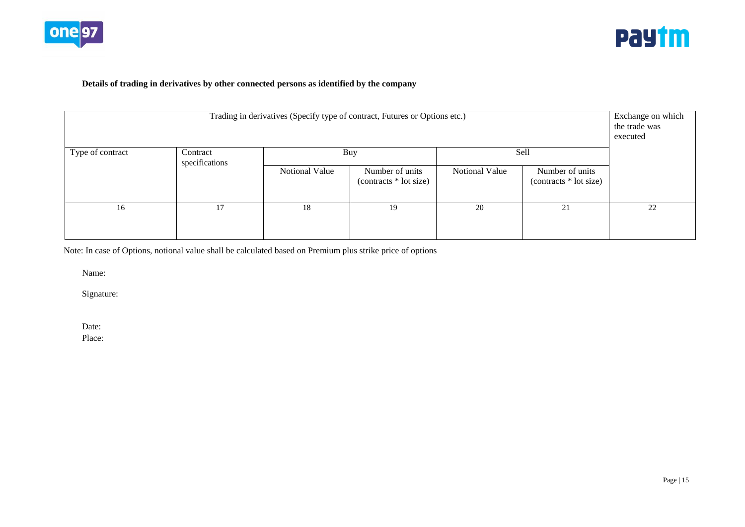



## **Details of trading in derivatives by other connected persons as identified by the company**

| Trading in derivatives (Specify type of contract, Futures or Options etc.)<br>Sell<br>Buy |                |                |                                            |                |                                           |    |  |  |  |  |  |
|-------------------------------------------------------------------------------------------|----------------|----------------|--------------------------------------------|----------------|-------------------------------------------|----|--|--|--|--|--|
| Type of contract                                                                          |                |                |                                            |                |                                           |    |  |  |  |  |  |
|                                                                                           | specifications | Notional Value | Number of units<br>$(contrast * lot size)$ | Notional Value | Number of units<br>(contracts * lot size) |    |  |  |  |  |  |
| 16                                                                                        | 17             | 18             | 19                                         | 20             | 21                                        | 22 |  |  |  |  |  |

Note: In case of Options, notional value shall be calculated based on Premium plus strike price of options

Name:

Signature:

Date:

Place: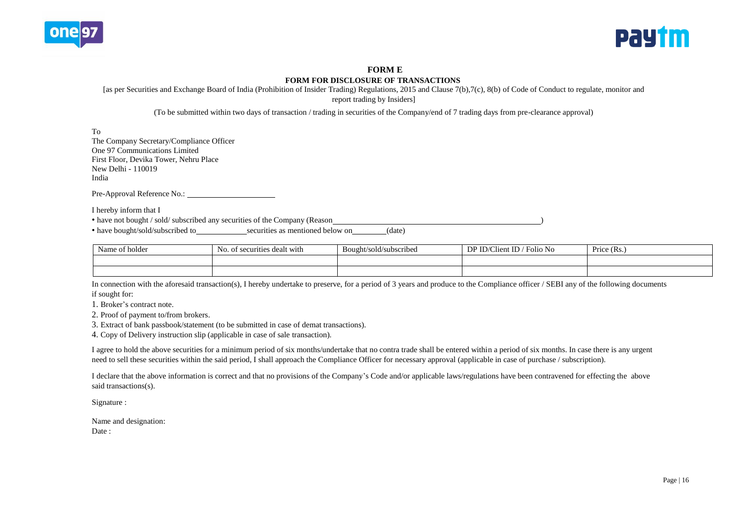



### **FORM E**

#### **FORM FOR DISCLOSURE OF TRANSACTIONS**

[as per Securities and Exchange Board of India (Prohibition of Insider Trading) Regulations, 2015 and Clause 7(b),7(c), 8(b) of Code of Conduct to regulate, monitor and

report trading by Insiders]

(To be submitted within two days of transaction / trading in securities of the Company/end of 7 trading days from pre-clearance approval)

To

The Company Secretary/Compliance Officer One 97 Communications Limited First Floor, Devika Tower, Nehru Place New Delhi - 110019 India

Pre-Approval Reference No.:

I hereby inform that I

• have not bought / sold/ subscribed any securities of the Company (Reason )

• have bought/sold/subscribed to securities as mentioned below on (date)

| $\sim$<br>of holder<br>Name | of securities dealt with<br>NO. | $\cdot$ $\cdot$<br>Bought/sold/subscribed | DP ID/Clio<br>$t$ ID $t$<br>Folio No<br>∟lien' | Price (Rs.) |
|-----------------------------|---------------------------------|-------------------------------------------|------------------------------------------------|-------------|
|                             |                                 |                                           |                                                |             |
|                             |                                 |                                           |                                                |             |

In connection with the aforesaid transaction(s), I hereby undertake to preserve, for a period of 3 years and produce to the Compliance officer / SEBI any of the following documents if sought for:

1. Broker's contract note.

2. Proof of payment to/from brokers.

3. Extract of bank passbook/statement (to be submitted in case of demat transactions).

4. Copy of Delivery instruction slip (applicable in case of sale transaction).

I agree to hold the above securities for a minimum period of six months/undertake that no contra trade shall be entered within a period of six months. In case there is any urgent need to sell these securities within the said period, I shall approach the Compliance Officer for necessary approval (applicable in case of purchase / subscription).

I declare that the above information is correct and that no provisions of the Company's Code and/or applicable laws/regulations have been contravened for effecting the above said transactions(s).

Signature :

Name and designation: Date :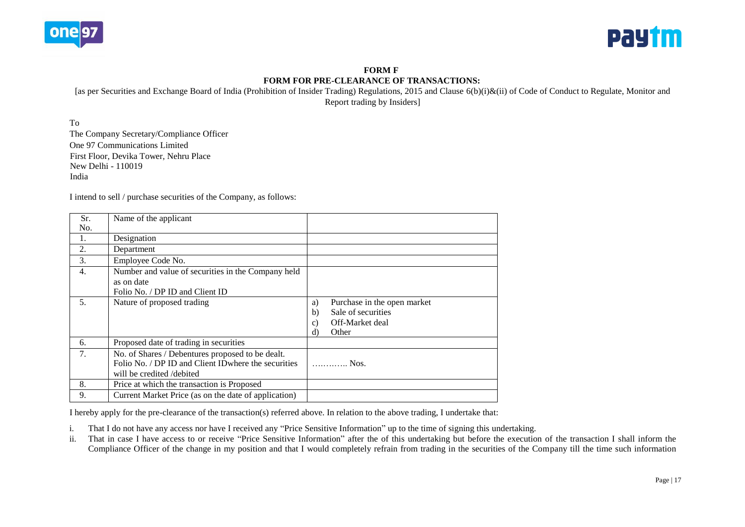



**FORM F FORM FOR PRE-CLEARANCE OF TRANSACTIONS:**

[as per Securities and Exchange Board of India (Prohibition of Insider Trading) Regulations, 2015 and Clause 6(b)(i)&(ii) of Code of Conduct to Regulate, Monitor and Report trading by Insiders]

To The Company Secretary/Compliance Officer One 97 Communications Limited First Floor, Devika Tower, Nehru Place New Delhi - 110019 India

I intend to sell / purchase securities of the Company, as follows:

| Sr. | Name of the applicant                                |              |                             |
|-----|------------------------------------------------------|--------------|-----------------------------|
| No. |                                                      |              |                             |
| 1.  | Designation                                          |              |                             |
| 2.  | Department                                           |              |                             |
| 3.  | Employee Code No.                                    |              |                             |
| 4.  | Number and value of securities in the Company held   |              |                             |
|     | as on date                                           |              |                             |
|     | Folio No. / DP ID and Client ID                      |              |                             |
| .5. | Nature of proposed trading                           | a)           | Purchase in the open market |
|     |                                                      | b)           | Sale of securities          |
|     |                                                      | $\mathbf{c}$ | Off-Market deal             |
|     |                                                      | d)           | Other                       |
| 6.  | Proposed date of trading in securities               |              |                             |
| 7.  | No. of Shares / Debentures proposed to be dealt.     |              |                             |
|     | Folio No. / DP ID and Client ID where the securities |              | Nos.                        |
|     | will be credited /debited                            |              |                             |
| 8.  | Price at which the transaction is Proposed           |              |                             |
| 9.  | Current Market Price (as on the date of application) |              |                             |

I hereby apply for the pre-clearance of the transaction(s) referred above. In relation to the above trading, I undertake that:

i. That I do not have any access nor have I received any "Price Sensitive Information" up to the time of signing this undertaking.

ii. That in case I have access to or receive "Price Sensitive Information" after the of this undertaking but before the execution of the transaction I shall inform the Compliance Officer of the change in my position and that I would completely refrain from trading in the securities of the Company till the time such information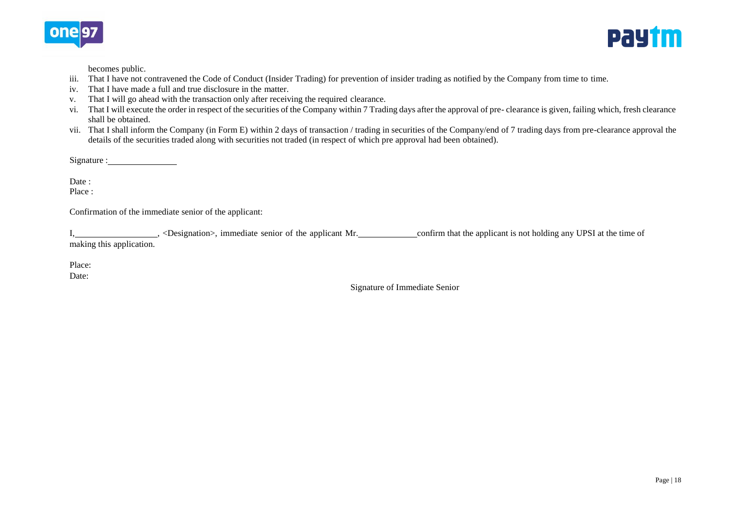



becomes public.

- iii. That I have not contravened the Code of Conduct (Insider Trading) for prevention of insider trading as notified by the Company from time to time.
- iv. That I have made a full and true disclosure in the matter.
- v. That I will go ahead with the transaction only after receiving the required clearance.
- vi. That I will execute the order in respect of the securities of the Company within 7 Trading days after the approval of pre- clearance is given, failing which, fresh clearance shall be obtained.
- vii. That I shall inform the Company (in Form E) within 2 days of transaction / trading in securities of the Company/end of 7 trading days from pre-clearance approval the details of the securities traded along with securities not traded (in respect of which pre approval had been obtained).

Signature :

Date :

Place :

Confirmation of the immediate senior of the applicant:

I, \_\_\_\_\_\_\_\_\_\_\_\_\_\_\_\_\_\_\_\_\_, <Designation>, immediate senior of the applicant Mr. \_\_\_\_\_\_\_\_\_\_\_\_\_\_\_\_\_\_\_\_confirm that the applicant is not holding any UPSI at the time of making this application.

Place:

Date:

Signature of Immediate Senior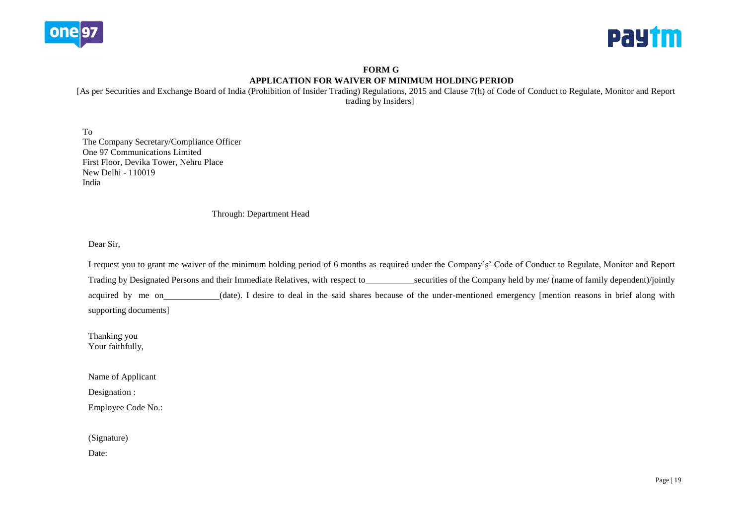



# **FORM G APPLICATION FOR WAIVER OF MINIMUM HOLDINGPERIOD**

[As per Securities and Exchange Board of India (Prohibition of Insider Trading) Regulations, 2015 and Clause 7(h) of Code of Conduct to Regulate, Monitor and Report trading by Insiders]

To The Company Secretary/Compliance Officer One 97 Communications Limited First Floor, Devika Tower, Nehru Place New Delhi - 110019 India

### Through: Department Head

Dear Sir,

I request you to grant me waiver of the minimum holding period of 6 months as required under the Company's' Code of Conduct to Regulate, Monitor and Report Trading by Designated Persons and their Immediate Relatives, with respect to\_\_\_\_\_\_\_\_\_\_\_\_\_securities of the Company held by me/ (name of family dependent)/jointly acquired by me on (date). I desire to deal in the said shares because of the under-mentioned emergency [mention reasons in brief along with supporting documents]

Thanking you Your faithfully,

Name of Applicant

Designation :

Employee Code No.:

(Signature)

Date: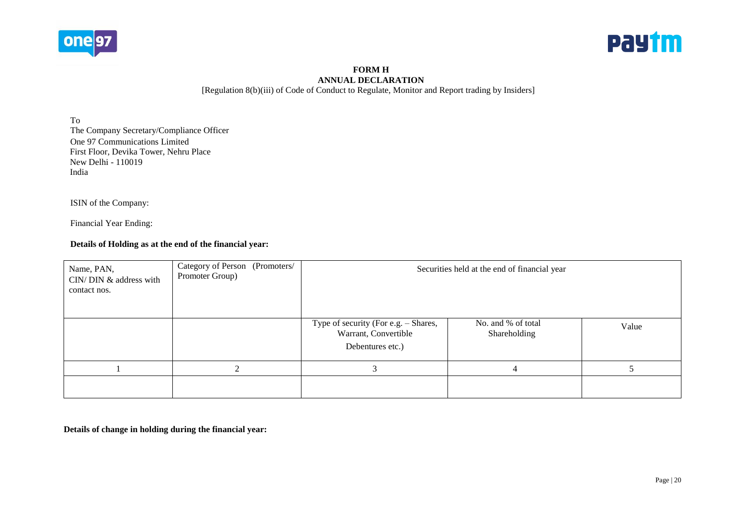



### **FORM H ANNUAL DECLARATION** [Regulation 8(b)(iii) of Code of Conduct to Regulate, Monitor and Report trading by Insiders]

To The Company Secretary/Compliance Officer One 97 Communications Limited First Floor, Devika Tower, Nehru Place New Delhi - 110019 India

ISIN of the Company:

Financial Year Ending:

# **Details of Holding as at the end of the financial year:**

| Name, PAN,<br>CIN/DIN & address with<br>contact nos. | Category of Person (Promoters/<br>Promoter Group) |                                                                                  | Securities held at the end of financial year |       |
|------------------------------------------------------|---------------------------------------------------|----------------------------------------------------------------------------------|----------------------------------------------|-------|
|                                                      |                                                   | Type of security (For e.g. – Shares,<br>Warrant, Convertible<br>Debentures etc.) | No. and % of total<br>Shareholding           | Value |
|                                                      |                                                   |                                                                                  |                                              |       |
|                                                      |                                                   |                                                                                  |                                              |       |

**Details of change in holding during the financial year:**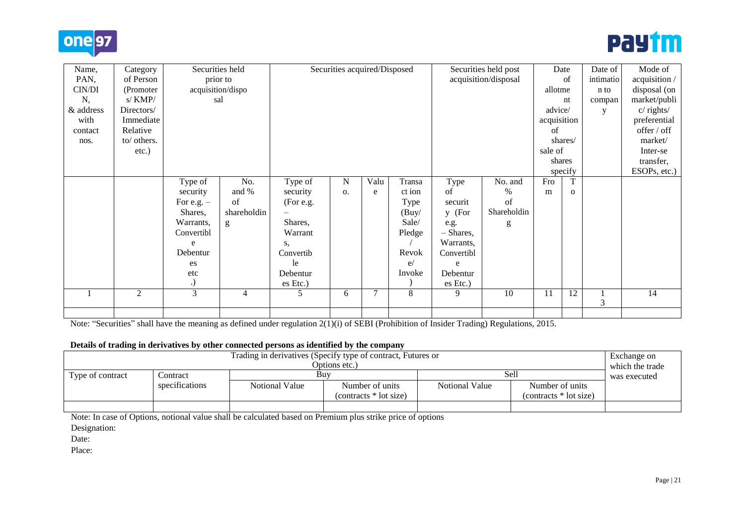



| Name,     | Category       | Securities held   |                |           | Securities acquired/Disposed |      |        |            | Securities held post |             | Date     | Date of   | Mode of       |
|-----------|----------------|-------------------|----------------|-----------|------------------------------|------|--------|------------|----------------------|-------------|----------|-----------|---------------|
| PAN,      | of Person      |                   | prior to       |           |                              |      |        |            | acquisition/disposal |             | of       | intimatio | acquisition / |
| CIN/DI    | (Promoter)     | acquisition/dispo |                |           |                              |      |        |            |                      | allotme     |          | n to      | disposal (on  |
| N,        | s/KMP/         | sal               |                |           |                              |      |        |            |                      |             | nt       | compan    | market/publi  |
| & address | Directors/     |                   |                |           |                              |      |        |            |                      | advice/     |          | y         | c/rights/     |
| with      | Immediate      |                   |                |           |                              |      |        |            |                      | acquisition |          |           | preferential  |
| contact   | Relative       |                   |                |           |                              |      |        |            |                      | of          |          |           | offer / off   |
| nos.      | to/ others.    |                   |                |           |                              |      |        |            |                      |             | shares/  |           | market/       |
|           | etc.)          |                   |                |           |                              |      |        |            |                      | sale of     |          |           | Inter-se      |
|           |                |                   |                |           |                              |      |        |            |                      |             | shares   |           | transfer,     |
|           |                |                   |                |           |                              |      |        |            |                      |             | specify  |           | ESOPs, etc.)  |
|           |                | Type of           | No.            | Type of   | N                            | Valu | Transa | Type       | No. and              | Fro         |          |           |               |
|           |                | security          | and %          | security  | 0.                           | e    | ct ion | of         | $\%$                 | m           | $\Omega$ |           |               |
|           |                | For e.g. $-$      | of             | (For e.g. |                              |      | Type   | securit    | of                   |             |          |           |               |
|           |                | Shares,           | shareholdin    |           |                              |      | (Buy)  | y (For     | Shareholdin          |             |          |           |               |
|           |                | Warrants,         | g              | Shares,   |                              |      | Sale/  | e.g.       | g                    |             |          |           |               |
|           |                | Convertibl        |                | Warrant   |                              |      | Pledge | - Shares,  |                      |             |          |           |               |
|           |                | e                 |                | S,        |                              |      |        | Warrants,  |                      |             |          |           |               |
|           |                | Debentur          |                | Convertib |                              |      | Revok  | Convertibl |                      |             |          |           |               |
|           |                | es                |                | le        |                              |      | e/     | e          |                      |             |          |           |               |
|           |                | etc               |                | Debentur  |                              |      | Invoke | Debentur   |                      |             |          |           |               |
|           |                | .)                |                | es Etc.)  |                              |      |        | es Etc.)   |                      |             |          |           |               |
|           | $\overline{2}$ | 3                 | $\overline{4}$ | 5         | 6                            | 7    | 8      | 9          | 10                   | 11          | 12       | 3         | 14            |
|           |                |                   |                |           |                              |      |        |            |                      |             |          |           |               |

Note: "Securities" shall have the meaning as defined under regulation 2(1)(i) of SEBI (Prohibition of Insider Trading) Regulations, 2015.

### **Details of trading in derivatives by other connected persons as identified by the company**

| Trading in derivatives (Specify type of contract, Futures or<br>Options etc.) |                |                |                         |                |                         |              |  |  |
|-------------------------------------------------------------------------------|----------------|----------------|-------------------------|----------------|-------------------------|--------------|--|--|
| Type of contract                                                              | Contract       | Buv            |                         | Sell           |                         | was executed |  |  |
|                                                                               | specifications | Notional Value | Number of units         | Notional Value | Number of units         |              |  |  |
|                                                                               |                |                | $(contrast * lot size)$ |                | $(contrast * lot size)$ |              |  |  |
|                                                                               |                |                |                         |                |                         |              |  |  |

Note: In case of Options, notional value shall be calculated based on Premium plus strike price of options

Designation:

Date:

Place: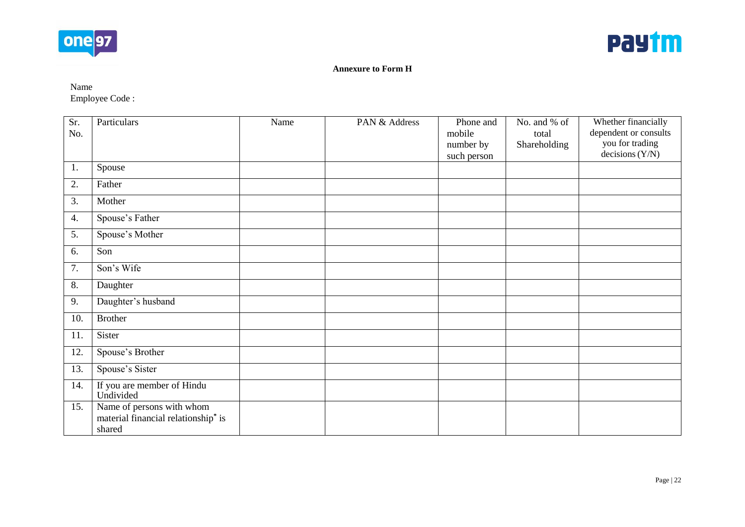



# **Annexure to Form H**

Name Employee Code :

| Sr. | Particulars                                     | Name | PAN & Address | Phone and   | No. and % of | Whether financially   |
|-----|-------------------------------------------------|------|---------------|-------------|--------------|-----------------------|
| No. |                                                 |      |               | mobile      | total        | dependent or consults |
|     |                                                 |      |               | number by   | Shareholding | you for trading       |
|     |                                                 |      |               | such person |              | decisions $(Y/N)$     |
| 1.  | Spouse                                          |      |               |             |              |                       |
| 2.  | Father                                          |      |               |             |              |                       |
| 3.  | Mother                                          |      |               |             |              |                       |
| 4.  | Spouse's Father                                 |      |               |             |              |                       |
| 5.  | Spouse's Mother                                 |      |               |             |              |                       |
| 6.  | Son                                             |      |               |             |              |                       |
| 7.  | Son's Wife                                      |      |               |             |              |                       |
| 8.  | Daughter                                        |      |               |             |              |                       |
| 9.  | Daughter's husband                              |      |               |             |              |                       |
| 10. | <b>Brother</b>                                  |      |               |             |              |                       |
| 11. | Sister                                          |      |               |             |              |                       |
| 12. | Spouse's Brother                                |      |               |             |              |                       |
| 13. | Spouse's Sister                                 |      |               |             |              |                       |
| 14. | If you are member of Hindu<br>Undivided         |      |               |             |              |                       |
| 15. | Name of persons with whom                       |      |               |             |              |                       |
|     | material financial relationship <sup>*</sup> is |      |               |             |              |                       |
|     | shared                                          |      |               |             |              |                       |